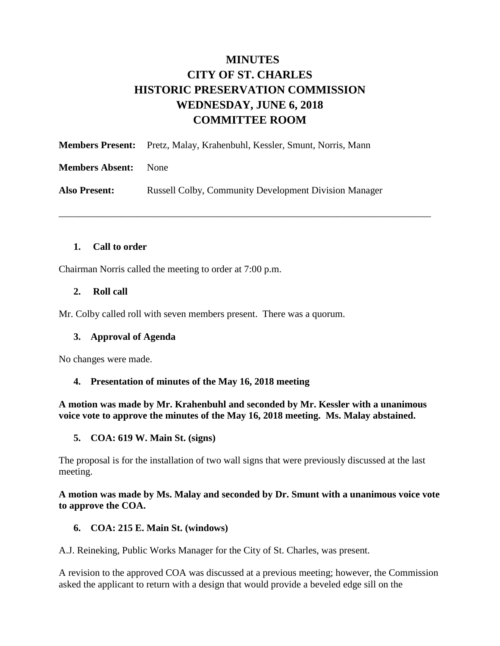## **MINUTES CITY OF ST. CHARLES HISTORIC PRESERVATION COMMISSION WEDNESDAY, JUNE 6, 2018 COMMITTEE ROOM**

\_\_\_\_\_\_\_\_\_\_\_\_\_\_\_\_\_\_\_\_\_\_\_\_\_\_\_\_\_\_\_\_\_\_\_\_\_\_\_\_\_\_\_\_\_\_\_\_\_\_\_\_\_\_\_\_\_\_\_\_\_\_\_\_\_\_\_\_\_\_\_\_\_\_\_\_

**Members Present:** Pretz, Malay, Krahenbuhl, Kessler, Smunt, Norris, Mann **Members Absent:** None Also Present: Russell Colby, Community Development Division Manager

#### **1. Call to order**

Chairman Norris called the meeting to order at 7:00 p.m.

#### **2. Roll call**

Mr. Colby called roll with seven members present. There was a quorum.

#### **3. Approval of Agenda**

No changes were made.

#### **4. Presentation of minutes of the May 16, 2018 meeting**

**A motion was made by Mr. Krahenbuhl and seconded by Mr. Kessler with a unanimous voice vote to approve the minutes of the May 16, 2018 meeting. Ms. Malay abstained.** 

#### **5. COA: 619 W. Main St. (signs)**

The proposal is for the installation of two wall signs that were previously discussed at the last meeting.

**A motion was made by Ms. Malay and seconded by Dr. Smunt with a unanimous voice vote to approve the COA.** 

#### **6. COA: 215 E. Main St. (windows)**

A.J. Reineking, Public Works Manager for the City of St. Charles, was present.

A revision to the approved COA was discussed at a previous meeting; however, the Commission asked the applicant to return with a design that would provide a beveled edge sill on the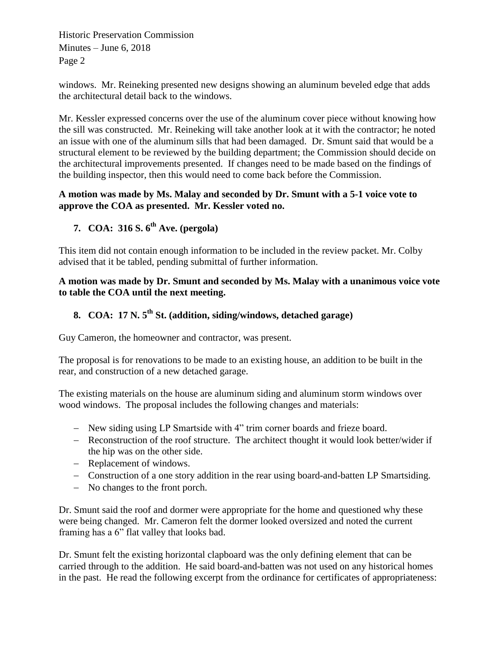Historic Preservation Commission Minutes – June 6, 2018 Page 2

windows. Mr. Reineking presented new designs showing an aluminum beveled edge that adds the architectural detail back to the windows.

Mr. Kessler expressed concerns over the use of the aluminum cover piece without knowing how the sill was constructed. Mr. Reineking will take another look at it with the contractor; he noted an issue with one of the aluminum sills that had been damaged. Dr. Smunt said that would be a structural element to be reviewed by the building department; the Commission should decide on the architectural improvements presented. If changes need to be made based on the findings of the building inspector, then this would need to come back before the Commission.

## **A motion was made by Ms. Malay and seconded by Dr. Smunt with a 5-1 voice vote to approve the COA as presented. Mr. Kessler voted no.**

**7. COA: 316 S. 6th Ave. (pergola)**

This item did not contain enough information to be included in the review packet. Mr. Colby advised that it be tabled, pending submittal of further information.

#### **A motion was made by Dr. Smunt and seconded by Ms. Malay with a unanimous voice vote to table the COA until the next meeting.**

# **8. COA: 17 N. 5th St. (addition, siding/windows, detached garage)**

Guy Cameron, the homeowner and contractor, was present.

The proposal is for renovations to be made to an existing house, an addition to be built in the rear, and construction of a new detached garage.

The existing materials on the house are aluminum siding and aluminum storm windows over wood windows. The proposal includes the following changes and materials:

- New siding using LP Smartside with 4" trim corner boards and frieze board.
- Reconstruction of the roof structure. The architect thought it would look better/wider if the hip was on the other side.
- Replacement of windows.
- Construction of a one story addition in the rear using board-and-batten LP Smartsiding.
- No changes to the front porch.

Dr. Smunt said the roof and dormer were appropriate for the home and questioned why these were being changed. Mr. Cameron felt the dormer looked oversized and noted the current framing has a 6" flat valley that looks bad.

Dr. Smunt felt the existing horizontal clapboard was the only defining element that can be carried through to the addition. He said board-and-batten was not used on any historical homes in the past. He read the following excerpt from the ordinance for certificates of appropriateness: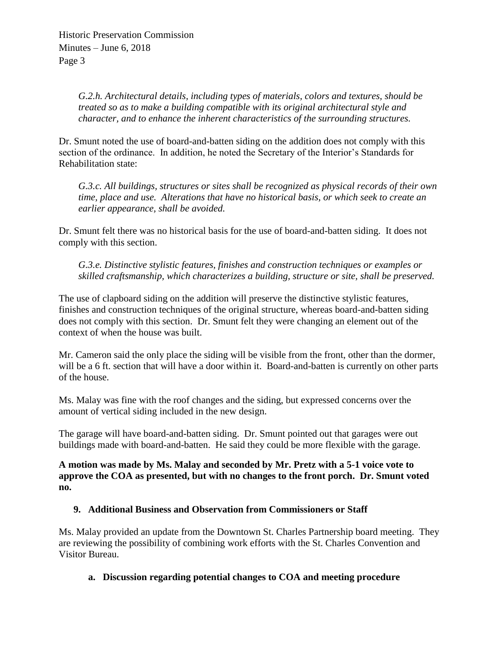*G.2.h. Architectural details, including types of materials, colors and textures, should be treated so as to make a building compatible with its original architectural style and character, and to enhance the inherent characteristics of the surrounding structures.* 

Dr. Smunt noted the use of board-and-batten siding on the addition does not comply with this section of the ordinance. In addition, he noted the Secretary of the Interior's Standards for Rehabilitation state:

*G.3.c. All buildings, structures or sites shall be recognized as physical records of their own time, place and use. Alterations that have no historical basis, or which seek to create an earlier appearance, shall be avoided.* 

Dr. Smunt felt there was no historical basis for the use of board-and-batten siding. It does not comply with this section.

*G.3.e. Distinctive stylistic features, finishes and construction techniques or examples or skilled craftsmanship, which characterizes a building, structure or site, shall be preserved.* 

The use of clapboard siding on the addition will preserve the distinctive stylistic features, finishes and construction techniques of the original structure, whereas board-and-batten siding does not comply with this section. Dr. Smunt felt they were changing an element out of the context of when the house was built.

Mr. Cameron said the only place the siding will be visible from the front, other than the dormer, will be a 6 ft. section that will have a door within it. Board-and-batten is currently on other parts of the house.

Ms. Malay was fine with the roof changes and the siding, but expressed concerns over the amount of vertical siding included in the new design.

The garage will have board-and-batten siding. Dr. Smunt pointed out that garages were out buildings made with board-and-batten. He said they could be more flexible with the garage.

**A motion was made by Ms. Malay and seconded by Mr. Pretz with a 5-1 voice vote to approve the COA as presented, but with no changes to the front porch. Dr. Smunt voted no.** 

## **9. Additional Business and Observation from Commissioners or Staff**

Ms. Malay provided an update from the Downtown St. Charles Partnership board meeting. They are reviewing the possibility of combining work efforts with the St. Charles Convention and Visitor Bureau.

## **a. Discussion regarding potential changes to COA and meeting procedure**